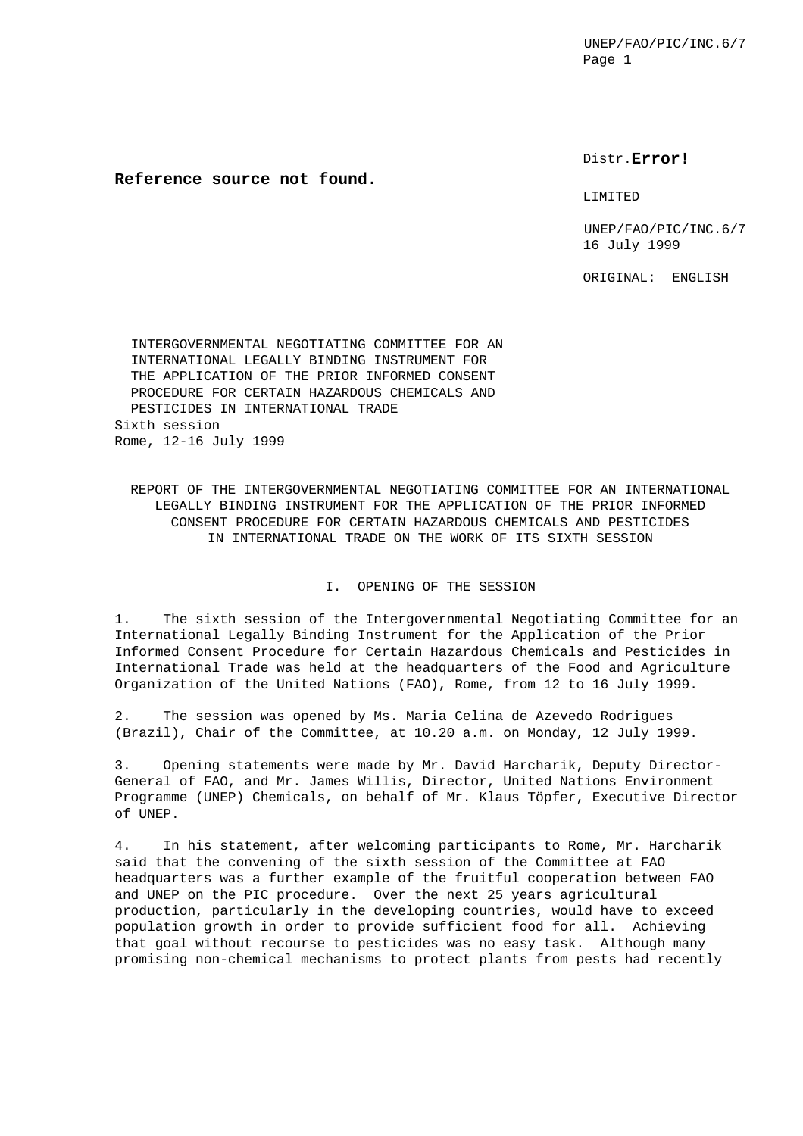Distr.**Error!**

## **Reference source not found.**

#### LIMITED

UNEP/FAO/PIC/INC.6/7 16 July 1999

ORIGINAL: ENGLISH

 INTERGOVERNMENTAL NEGOTIATING COMMITTEE FOR AN INTERNATIONAL LEGALLY BINDING INSTRUMENT FOR THE APPLICATION OF THE PRIOR INFORMED CONSENT PROCEDURE FOR CERTAIN HAZARDOUS CHEMICALS AND PESTICIDES IN INTERNATIONAL TRADE Sixth session Rome, 12-16 July 1999

REPORT OF THE INTERGOVERNMENTAL NEGOTIATING COMMITTEE FOR AN INTERNATIONAL LEGALLY BINDING INSTRUMENT FOR THE APPLICATION OF THE PRIOR INFORMED CONSENT PROCEDURE FOR CERTAIN HAZARDOUS CHEMICALS AND PESTICIDES IN INTERNATIONAL TRADE ON THE WORK OF ITS SIXTH SESSION

### I. OPENING OF THE SESSION

1. The sixth session of the Intergovernmental Negotiating Committee for an International Legally Binding Instrument for the Application of the Prior Informed Consent Procedure for Certain Hazardous Chemicals and Pesticides in International Trade was held at the headquarters of the Food and Agriculture Organization of the United Nations (FAO), Rome, from 12 to 16 July 1999.

2. The session was opened by Ms. Maria Celina de Azevedo Rodrigues (Brazil), Chair of the Committee, at 10.20 a.m. on Monday, 12 July 1999.

3. Opening statements were made by Mr. David Harcharik, Deputy Director-General of FAO, and Mr. James Willis, Director, United Nations Environment Programme (UNEP) Chemicals, on behalf of Mr. Klaus Töpfer, Executive Director of UNEP.

4. In his statement, after welcoming participants to Rome, Mr. Harcharik said that the convening of the sixth session of the Committee at FAO headquarters was a further example of the fruitful cooperation between FAO and UNEP on the PIC procedure. Over the next 25 years agricultural production, particularly in the developing countries, would have to exceed population growth in order to provide sufficient food for all. Achieving that goal without recourse to pesticides was no easy task. Although many promising non-chemical mechanisms to protect plants from pests had recently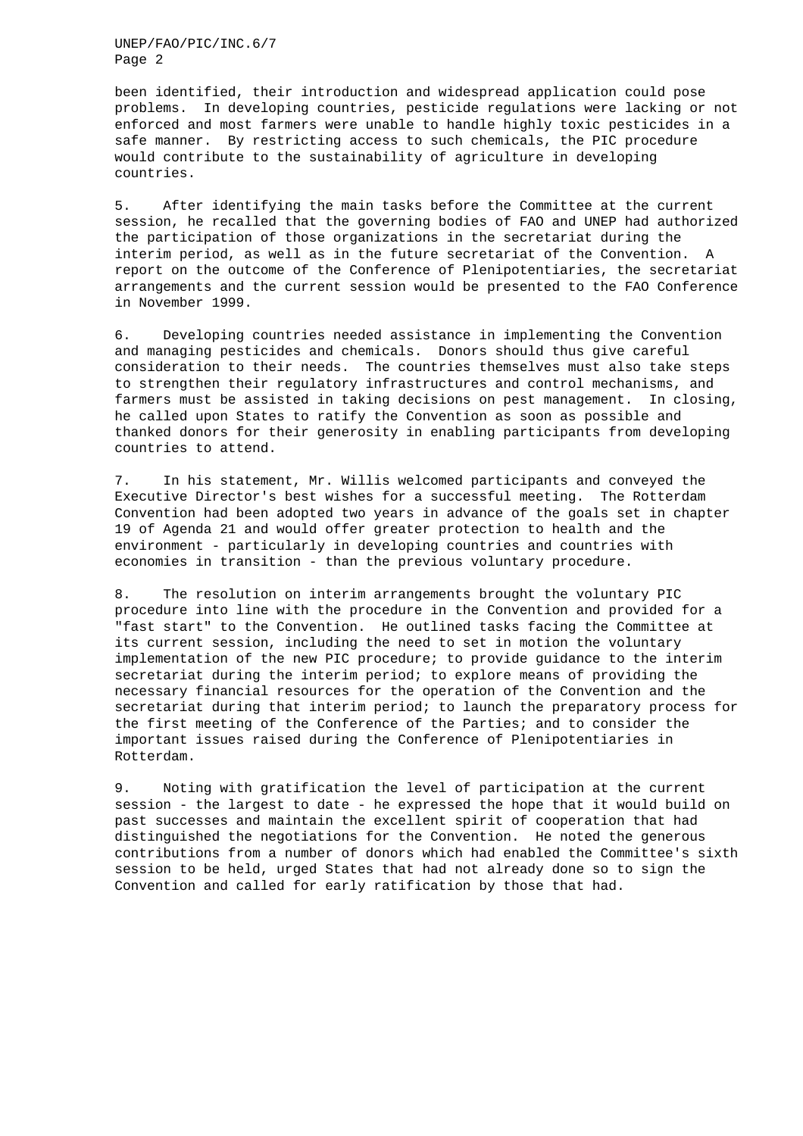been identified, their introduction and widespread application could pose problems. In developing countries, pesticide regulations were lacking or not enforced and most farmers were unable to handle highly toxic pesticides in a safe manner. By restricting access to such chemicals, the PIC procedure would contribute to the sustainability of agriculture in developing countries.

5. After identifying the main tasks before the Committee at the current session, he recalled that the governing bodies of FAO and UNEP had authorized the participation of those organizations in the secretariat during the interim period, as well as in the future secretariat of the Convention. A report on the outcome of the Conference of Plenipotentiaries, the secretariat arrangements and the current session would be presented to the FAO Conference in November 1999.

6. Developing countries needed assistance in implementing the Convention and managing pesticides and chemicals. Donors should thus give careful consideration to their needs. The countries themselves must also take steps to strengthen their regulatory infrastructures and control mechanisms, and farmers must be assisted in taking decisions on pest management. In closing, he called upon States to ratify the Convention as soon as possible and thanked donors for their generosity in enabling participants from developing countries to attend.

7. In his statement, Mr. Willis welcomed participants and conveyed the Executive Director's best wishes for a successful meeting. The Rotterdam Convention had been adopted two years in advance of the goals set in chapter 19 of Agenda 21 and would offer greater protection to health and the environment - particularly in developing countries and countries with economies in transition - than the previous voluntary procedure.

8. The resolution on interim arrangements brought the voluntary PIC procedure into line with the procedure in the Convention and provided for a "fast start" to the Convention. He outlined tasks facing the Committee at its current session, including the need to set in motion the voluntary implementation of the new PIC procedure; to provide guidance to the interim secretariat during the interim period; to explore means of providing the necessary financial resources for the operation of the Convention and the secretariat during that interim period; to launch the preparatory process for the first meeting of the Conference of the Parties; and to consider the important issues raised during the Conference of Plenipotentiaries in Rotterdam.

9. Noting with gratification the level of participation at the current session - the largest to date - he expressed the hope that it would build on past successes and maintain the excellent spirit of cooperation that had distinguished the negotiations for the Convention. He noted the generous contributions from a number of donors which had enabled the Committee's sixth session to be held, urged States that had not already done so to sign the Convention and called for early ratification by those that had.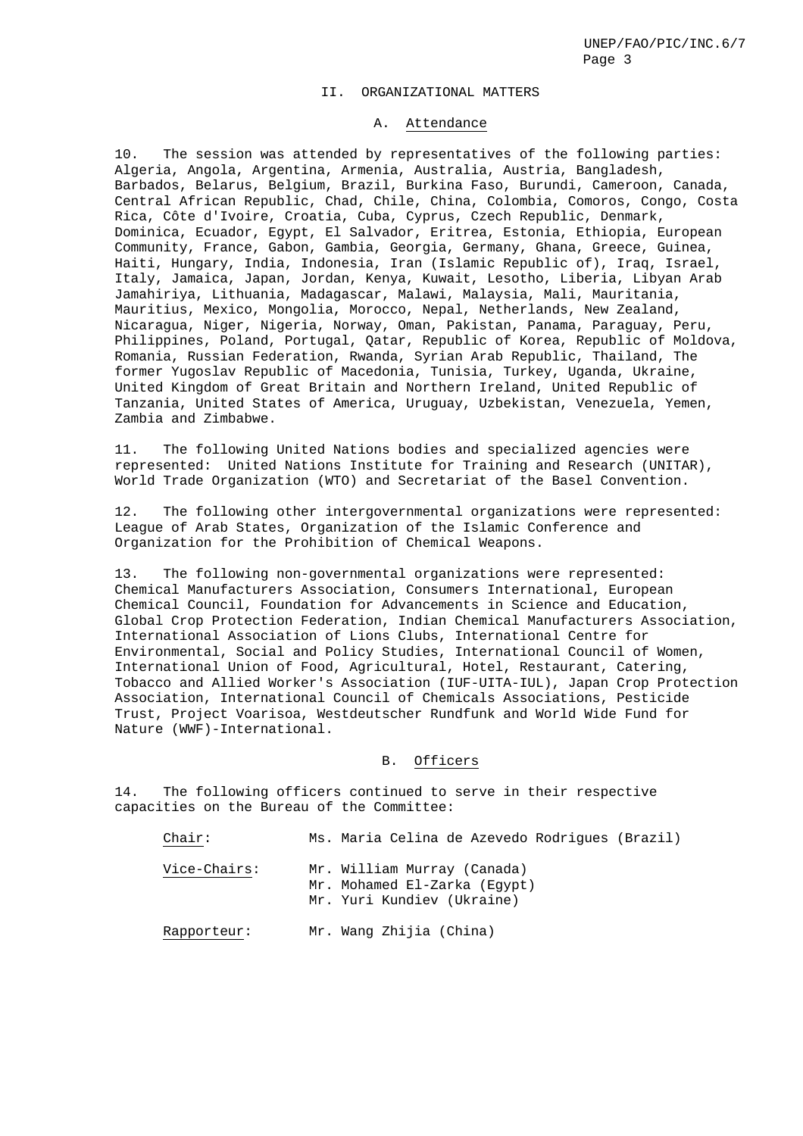#### II. ORGANIZATIONAL MATTERS

#### A. Attendance

10. The session was attended by representatives of the following parties: Algeria, Angola, Argentina, Armenia, Australia, Austria, Bangladesh, Barbados, Belarus, Belgium, Brazil, Burkina Faso, Burundi, Cameroon, Canada, Central African Republic, Chad, Chile, China, Colombia, Comoros, Congo, Costa Rica, Côte d'Ivoire, Croatia, Cuba, Cyprus, Czech Republic, Denmark, Dominica, Ecuador, Egypt, El Salvador, Eritrea, Estonia, Ethiopia, European Community, France, Gabon, Gambia, Georgia, Germany, Ghana, Greece, Guinea, Haiti, Hungary, India, Indonesia, Iran (Islamic Republic of), Iraq, Israel, Italy, Jamaica, Japan, Jordan, Kenya, Kuwait, Lesotho, Liberia, Libyan Arab Jamahiriya, Lithuania, Madagascar, Malawi, Malaysia, Mali, Mauritania, Mauritius, Mexico, Mongolia, Morocco, Nepal, Netherlands, New Zealand, Nicaragua, Niger, Nigeria, Norway, Oman, Pakistan, Panama, Paraguay, Peru, Philippines, Poland, Portugal, Qatar, Republic of Korea, Republic of Moldova, Romania, Russian Federation, Rwanda, Syrian Arab Republic, Thailand, The former Yugoslav Republic of Macedonia, Tunisia, Turkey, Uganda, Ukraine, United Kingdom of Great Britain and Northern Ireland, United Republic of Tanzania, United States of America, Uruguay, Uzbekistan, Venezuela, Yemen, Zambia and Zimbabwe.

11. The following United Nations bodies and specialized agencies were represented: United Nations Institute for Training and Research (UNITAR), World Trade Organization (WTO) and Secretariat of the Basel Convention.

12. The following other intergovernmental organizations were represented: League of Arab States, Organization of the Islamic Conference and Organization for the Prohibition of Chemical Weapons.

13. The following non-governmental organizations were represented: Chemical Manufacturers Association, Consumers International, European Chemical Council, Foundation for Advancements in Science and Education, Global Crop Protection Federation, Indian Chemical Manufacturers Association, International Association of Lions Clubs, International Centre for Environmental, Social and Policy Studies, International Council of Women, International Union of Food, Agricultural, Hotel, Restaurant, Catering, Tobacco and Allied Worker's Association (IUF-UITA-IUL), Japan Crop Protection Association, International Council of Chemicals Associations, Pesticide Trust, Project Voarisoa, Westdeutscher Rundfunk and World Wide Fund for Nature (WWF)-International.

### B. Officers

14. The following officers continued to serve in their respective capacities on the Bureau of the Committee:

| $chair$ :    | Ms. Maria Celina de Azevedo Rodrigues (Brazil)                                            |
|--------------|-------------------------------------------------------------------------------------------|
| Vice-Chairs: | Mr. William Murray (Canada)<br>Mr. Mohamed El-Zarka (Eqypt)<br>Mr. Yuri Kundiev (Ukraine) |
| Rapporteur:  | Mr. Wang Zhijia (China)                                                                   |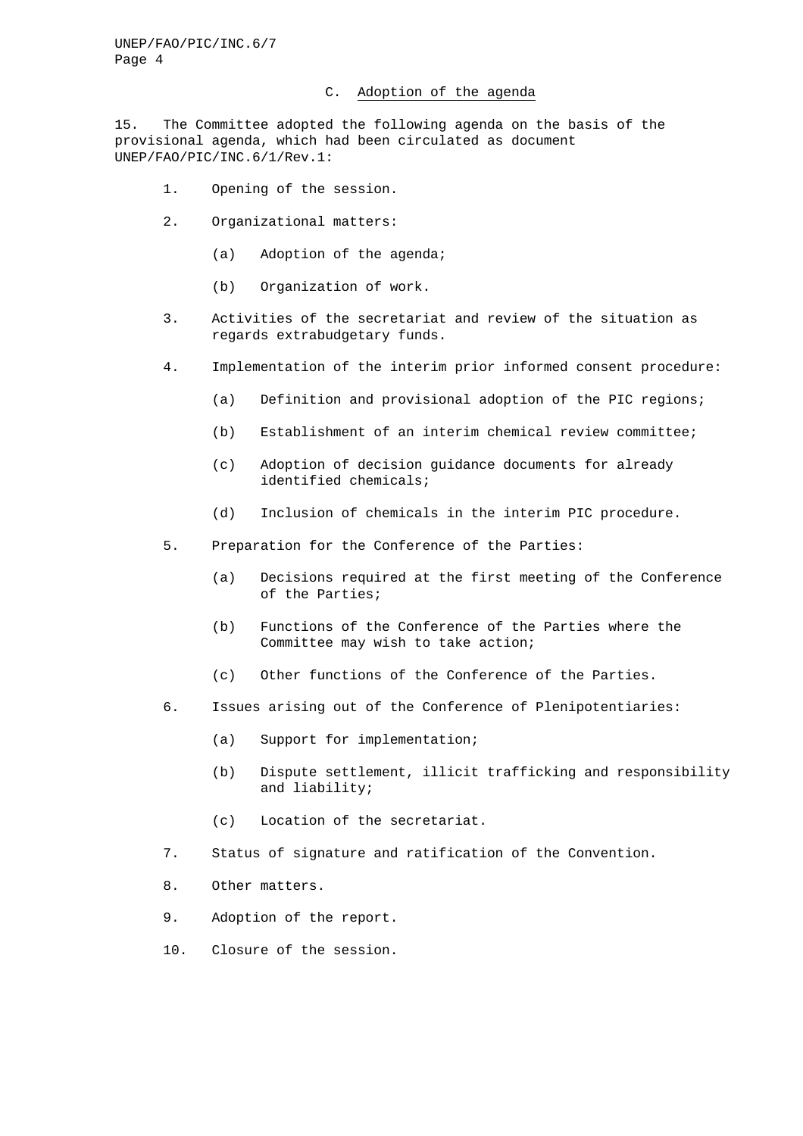### C. Adoption of the agenda

15. The Committee adopted the following agenda on the basis of the provisional agenda, which had been circulated as document UNEP/FAO/PIC/INC.6/1/Rev.1:

- 1. Opening of the session.
- 2. Organizational matters:
	- (a) Adoption of the agenda;
	- (b) Organization of work.
- 3. Activities of the secretariat and review of the situation as regards extrabudgetary funds.
- 4. Implementation of the interim prior informed consent procedure:
	- (a) Definition and provisional adoption of the PIC regions;
	- (b) Establishment of an interim chemical review committee;
	- (c) Adoption of decision guidance documents for already identified chemicals;
	- (d) Inclusion of chemicals in the interim PIC procedure.
- 5. Preparation for the Conference of the Parties:
	- (a) Decisions required at the first meeting of the Conference of the Parties;
	- (b) Functions of the Conference of the Parties where the Committee may wish to take action;
	- (c) Other functions of the Conference of the Parties.
- 6. Issues arising out of the Conference of Plenipotentiaries:
	- (a) Support for implementation;
	- (b) Dispute settlement, illicit trafficking and responsibility and liability;
	- (c) Location of the secretariat.
- 7. Status of signature and ratification of the Convention.
- 8. Other matters.
- 9. Adoption of the report.
- 10. Closure of the session.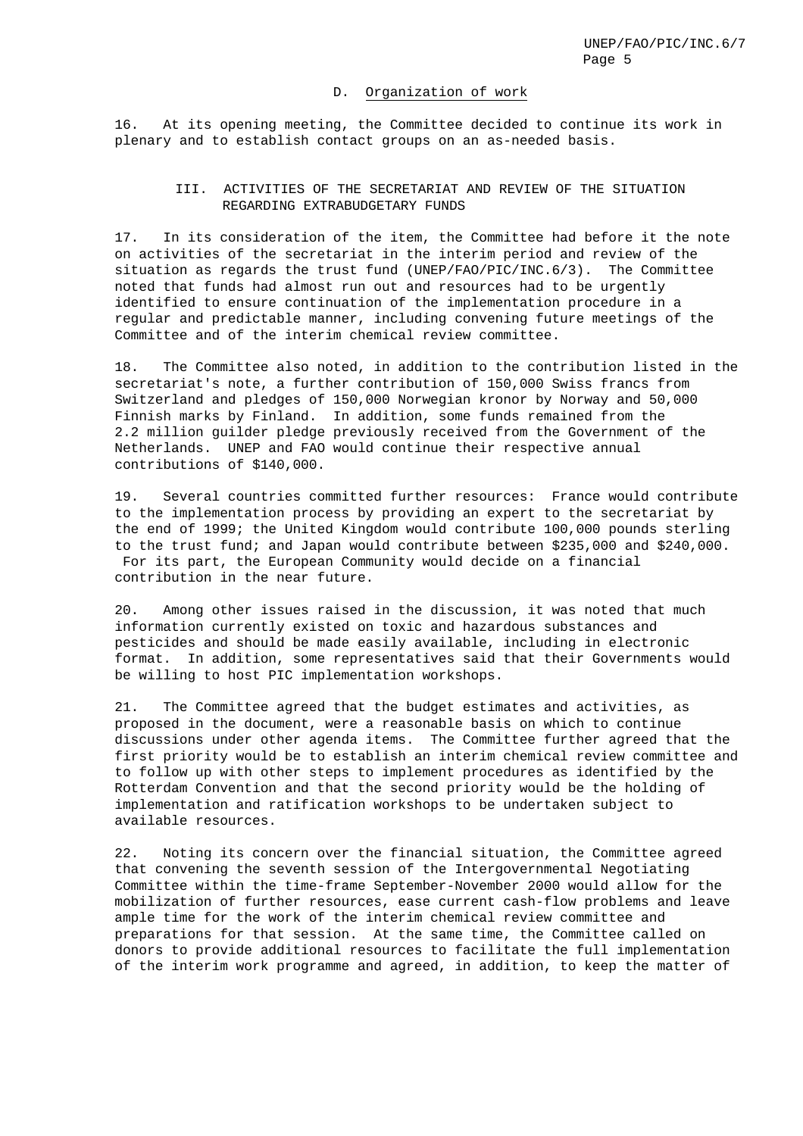#### D. Organization of work

16. At its opening meeting, the Committee decided to continue its work in plenary and to establish contact groups on an as-needed basis.

## III. ACTIVITIES OF THE SECRETARIAT AND REVIEW OF THE SITUATION REGARDING EXTRABUDGETARY FUNDS

17. In its consideration of the item, the Committee had before it the note on activities of the secretariat in the interim period and review of the situation as regards the trust fund (UNEP/FAO/PIC/INC.6/3). The Committee noted that funds had almost run out and resources had to be urgently identified to ensure continuation of the implementation procedure in a regular and predictable manner, including convening future meetings of the Committee and of the interim chemical review committee.

18. The Committee also noted, in addition to the contribution listed in the secretariat's note, a further contribution of 150,000 Swiss francs from Switzerland and pledges of 150,000 Norwegian kronor by Norway and 50,000 Finnish marks by Finland. In addition, some funds remained from the 2.2 million guilder pledge previously received from the Government of the Netherlands. UNEP and FAO would continue their respective annual contributions of \$140,000.

19. Several countries committed further resources: France would contribute to the implementation process by providing an expert to the secretariat by the end of 1999; the United Kingdom would contribute 100,000 pounds sterling to the trust fund; and Japan would contribute between \$235,000 and \$240,000. For its part, the European Community would decide on a financial contribution in the near future.

20. Among other issues raised in the discussion, it was noted that much information currently existed on toxic and hazardous substances and pesticides and should be made easily available, including in electronic format. In addition, some representatives said that their Governments would be willing to host PIC implementation workshops.

21. The Committee agreed that the budget estimates and activities, as proposed in the document, were a reasonable basis on which to continue discussions under other agenda items. The Committee further agreed that the first priority would be to establish an interim chemical review committee and to follow up with other steps to implement procedures as identified by the Rotterdam Convention and that the second priority would be the holding of implementation and ratification workshops to be undertaken subject to available resources.

22. Noting its concern over the financial situation, the Committee agreed that convening the seventh session of the Intergovernmental Negotiating Committee within the time-frame September-November 2000 would allow for the mobilization of further resources, ease current cash-flow problems and leave ample time for the work of the interim chemical review committee and preparations for that session. At the same time, the Committee called on donors to provide additional resources to facilitate the full implementation of the interim work programme and agreed, in addition, to keep the matter of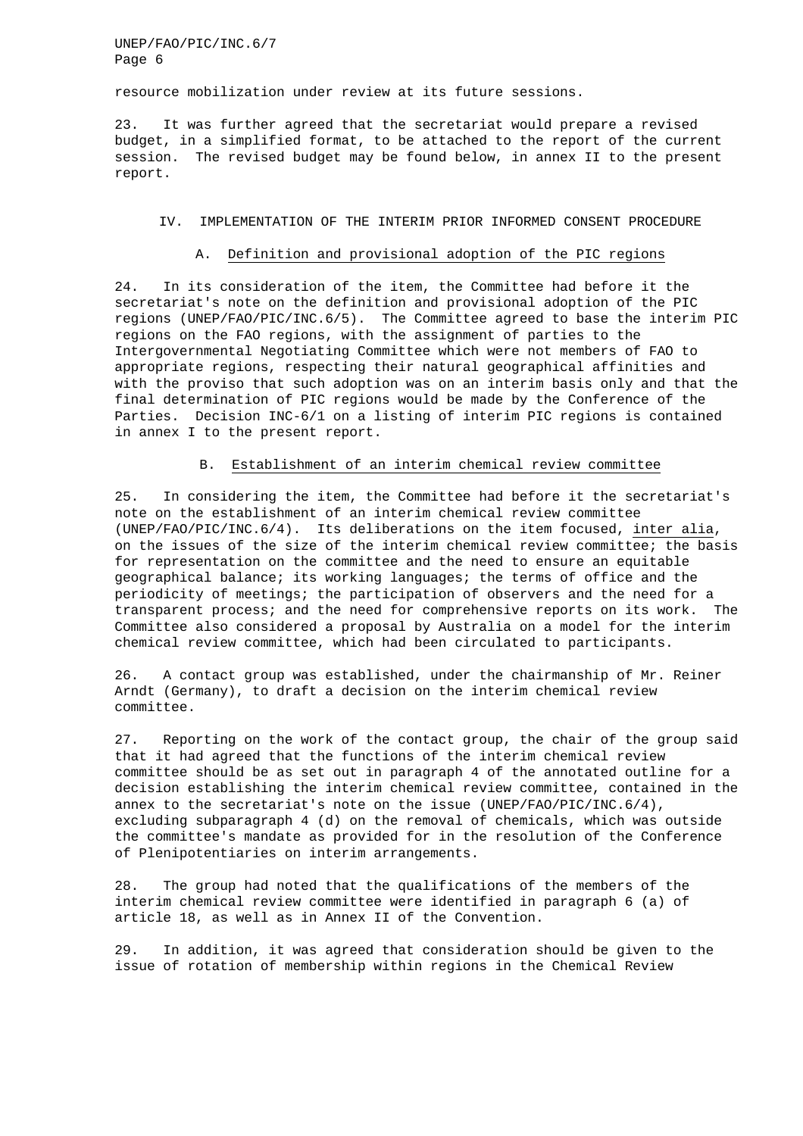resource mobilization under review at its future sessions.

23. It was further agreed that the secretariat would prepare a revised budget, in a simplified format, to be attached to the report of the current session. The revised budget may be found below, in annex II to the present report.

#### IV. IMPLEMENTATION OF THE INTERIM PRIOR INFORMED CONSENT PROCEDURE

#### A. Definition and provisional adoption of the PIC regions

24. In its consideration of the item, the Committee had before it the secretariat's note on the definition and provisional adoption of the PIC regions (UNEP/FAO/PIC/INC.6/5). The Committee agreed to base the interim PIC regions on the FAO regions, with the assignment of parties to the Intergovernmental Negotiating Committee which were not members of FAO to appropriate regions, respecting their natural geographical affinities and with the proviso that such adoption was on an interim basis only and that the final determination of PIC regions would be made by the Conference of the Parties. Decision INC-6/1 on a listing of interim PIC regions is contained in annex I to the present report.

### B. Establishment of an interim chemical review committee

25. In considering the item, the Committee had before it the secretariat's note on the establishment of an interim chemical review committee (UNEP/FAO/PIC/INC.6/4). Its deliberations on the item focused, inter alia, on the issues of the size of the interim chemical review committee; the basis for representation on the committee and the need to ensure an equitable geographical balance; its working languages; the terms of office and the periodicity of meetings; the participation of observers and the need for a transparent process; and the need for comprehensive reports on its work. The Committee also considered a proposal by Australia on a model for the interim chemical review committee, which had been circulated to participants.

26. A contact group was established, under the chairmanship of Mr. Reiner Arndt (Germany), to draft a decision on the interim chemical review committee.

27. Reporting on the work of the contact group, the chair of the group said that it had agreed that the functions of the interim chemical review committee should be as set out in paragraph 4 of the annotated outline for a decision establishing the interim chemical review committee, contained in the annex to the secretariat's note on the issue (UNEP/FAO/PIC/INC.6/4), excluding subparagraph 4 (d) on the removal of chemicals, which was outside the committee's mandate as provided for in the resolution of the Conference of Plenipotentiaries on interim arrangements.

28. The group had noted that the qualifications of the members of the interim chemical review committee were identified in paragraph 6 (a) of article 18, as well as in Annex II of the Convention.

29. In addition, it was agreed that consideration should be given to the issue of rotation of membership within regions in the Chemical Review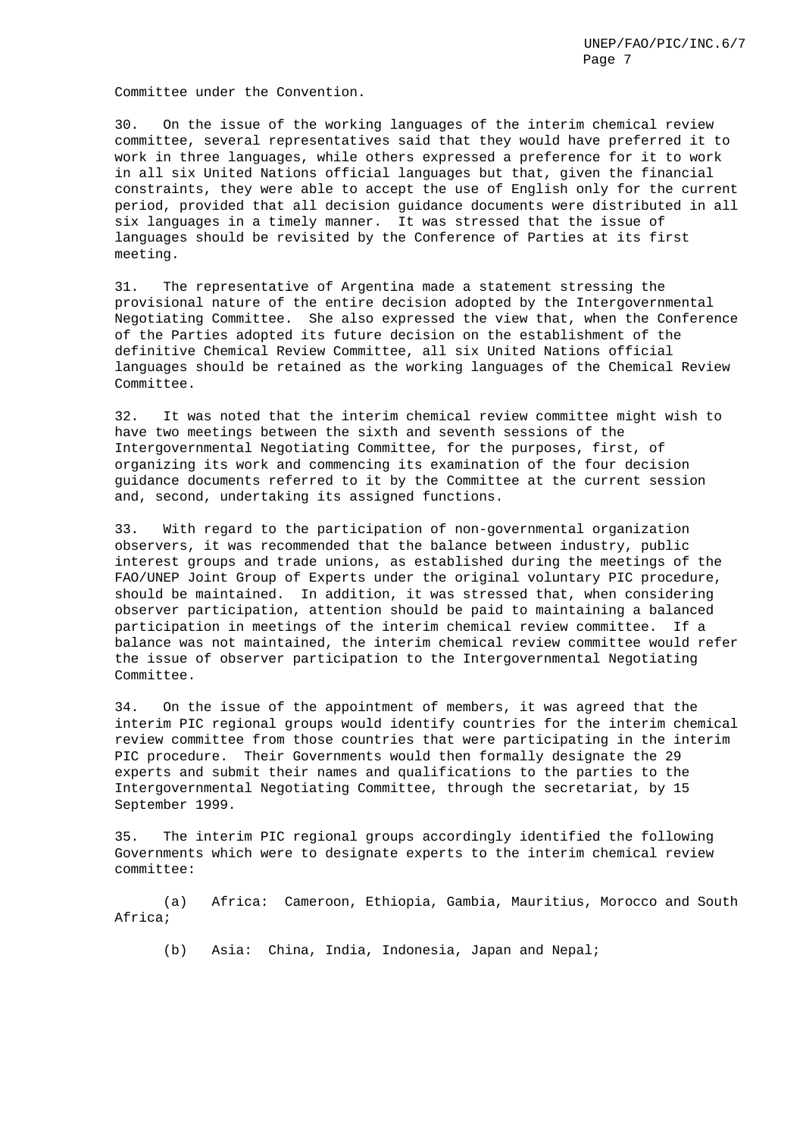Committee under the Convention.

30. On the issue of the working languages of the interim chemical review committee, several representatives said that they would have preferred it to work in three languages, while others expressed a preference for it to work in all six United Nations official languages but that, given the financial constraints, they were able to accept the use of English only for the current period, provided that all decision guidance documents were distributed in all six languages in a timely manner. It was stressed that the issue of languages should be revisited by the Conference of Parties at its first meeting.

31. The representative of Argentina made a statement stressing the provisional nature of the entire decision adopted by the Intergovernmental Negotiating Committee. She also expressed the view that, when the Conference of the Parties adopted its future decision on the establishment of the definitive Chemical Review Committee, all six United Nations official languages should be retained as the working languages of the Chemical Review Committee.

32. It was noted that the interim chemical review committee might wish to have two meetings between the sixth and seventh sessions of the Intergovernmental Negotiating Committee, for the purposes, first, of organizing its work and commencing its examination of the four decision guidance documents referred to it by the Committee at the current session and, second, undertaking its assigned functions.

33. With regard to the participation of non-governmental organization observers, it was recommended that the balance between industry, public interest groups and trade unions, as established during the meetings of the FAO/UNEP Joint Group of Experts under the original voluntary PIC procedure, should be maintained. In addition, it was stressed that, when considering observer participation, attention should be paid to maintaining a balanced participation in meetings of the interim chemical review committee. If a balance was not maintained, the interim chemical review committee would refer the issue of observer participation to the Intergovernmental Negotiating Committee.

34. On the issue of the appointment of members, it was agreed that the interim PIC regional groups would identify countries for the interim chemical review committee from those countries that were participating in the interim PIC procedure. Their Governments would then formally designate the 29 experts and submit their names and qualifications to the parties to the Intergovernmental Negotiating Committee, through the secretariat, by 15 September 1999.

35. The interim PIC regional groups accordingly identified the following Governments which were to designate experts to the interim chemical review committee:

(a) Africa: Cameroon, Ethiopia, Gambia, Mauritius, Morocco and South Africa;

(b) Asia: China, India, Indonesia, Japan and Nepal;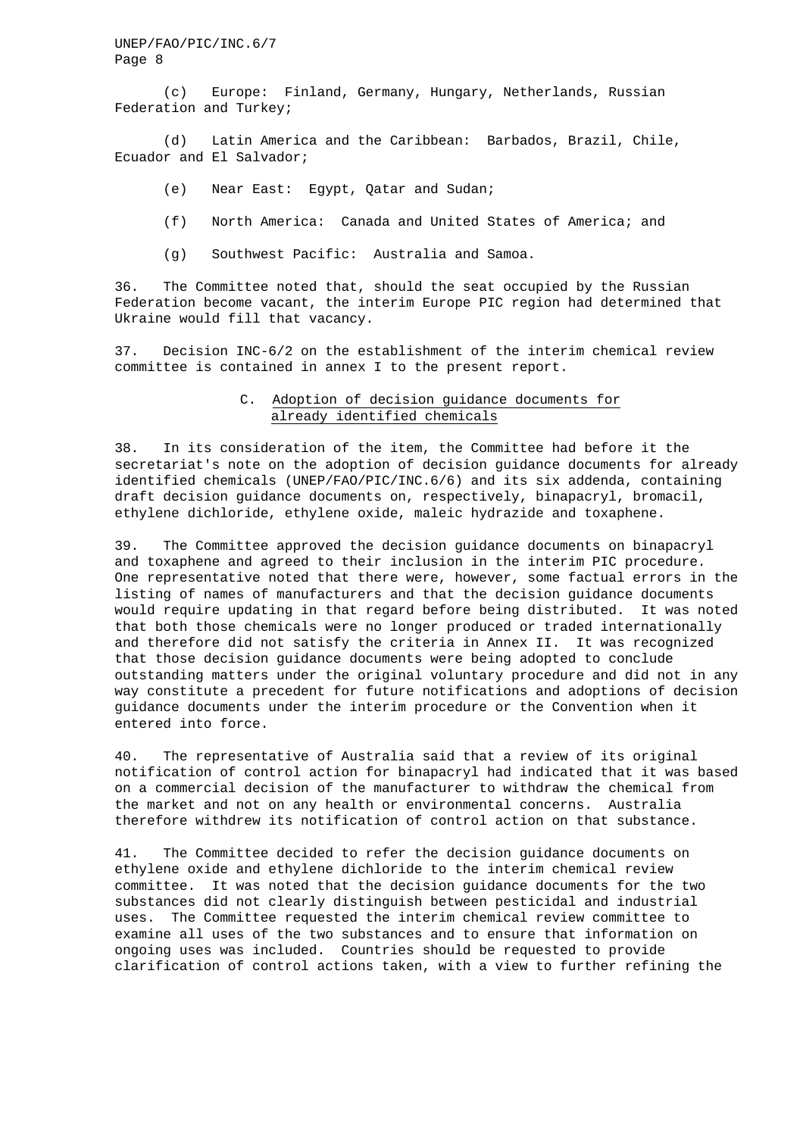(c) Europe: Finland, Germany, Hungary, Netherlands, Russian Federation and Turkey;

(d) Latin America and the Caribbean: Barbados, Brazil, Chile, Ecuador and El Salvador;

- (e) Near East: Egypt, Qatar and Sudan;
- (f) North America: Canada and United States of America; and
- (g) Southwest Pacific: Australia and Samoa.

36. The Committee noted that, should the seat occupied by the Russian Federation become vacant, the interim Europe PIC region had determined that Ukraine would fill that vacancy.

37. Decision INC-6/2 on the establishment of the interim chemical review committee is contained in annex I to the present report.

### C. Adoption of decision guidance documents for already identified chemicals

38. In its consideration of the item, the Committee had before it the secretariat's note on the adoption of decision guidance documents for already identified chemicals (UNEP/FAO/PIC/INC.6/6) and its six addenda, containing draft decision guidance documents on, respectively, binapacryl, bromacil, ethylene dichloride, ethylene oxide, maleic hydrazide and toxaphene.

39. The Committee approved the decision guidance documents on binapacryl and toxaphene and agreed to their inclusion in the interim PIC procedure. One representative noted that there were, however, some factual errors in the listing of names of manufacturers and that the decision guidance documents would require updating in that regard before being distributed. It was noted that both those chemicals were no longer produced or traded internationally and therefore did not satisfy the criteria in Annex II. It was recognized that those decision guidance documents were being adopted to conclude outstanding matters under the original voluntary procedure and did not in any way constitute a precedent for future notifications and adoptions of decision guidance documents under the interim procedure or the Convention when it entered into force.

40. The representative of Australia said that a review of its original notification of control action for binapacryl had indicated that it was based on a commercial decision of the manufacturer to withdraw the chemical from the market and not on any health or environmental concerns. Australia therefore withdrew its notification of control action on that substance.

41. The Committee decided to refer the decision guidance documents on ethylene oxide and ethylene dichloride to the interim chemical review committee. It was noted that the decision guidance documents for the two substances did not clearly distinguish between pesticidal and industrial uses. The Committee requested the interim chemical review committee to examine all uses of the two substances and to ensure that information on ongoing uses was included. Countries should be requested to provide clarification of control actions taken, with a view to further refining the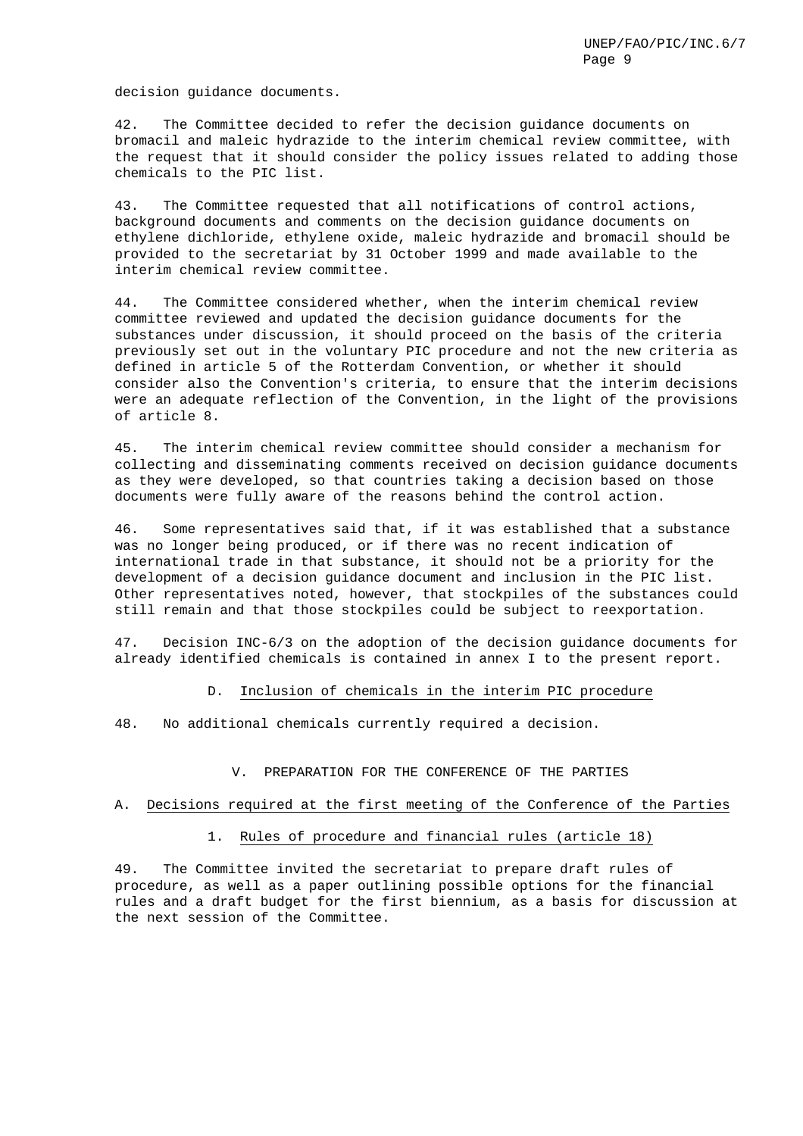decision guidance documents.

42. The Committee decided to refer the decision guidance documents on bromacil and maleic hydrazide to the interim chemical review committee, with the request that it should consider the policy issues related to adding those chemicals to the PIC list.

43. The Committee requested that all notifications of control actions, background documents and comments on the decision guidance documents on ethylene dichloride, ethylene oxide, maleic hydrazide and bromacil should be provided to the secretariat by 31 October 1999 and made available to the interim chemical review committee.

44. The Committee considered whether, when the interim chemical review committee reviewed and updated the decision guidance documents for the substances under discussion, it should proceed on the basis of the criteria previously set out in the voluntary PIC procedure and not the new criteria as defined in article 5 of the Rotterdam Convention, or whether it should consider also the Convention's criteria, to ensure that the interim decisions were an adequate reflection of the Convention, in the light of the provisions of article 8.

45. The interim chemical review committee should consider a mechanism for collecting and disseminating comments received on decision guidance documents as they were developed, so that countries taking a decision based on those documents were fully aware of the reasons behind the control action.

46. Some representatives said that, if it was established that a substance was no longer being produced, or if there was no recent indication of international trade in that substance, it should not be a priority for the development of a decision guidance document and inclusion in the PIC list. Other representatives noted, however, that stockpiles of the substances could still remain and that those stockpiles could be subject to reexportation.

47. Decision INC-6/3 on the adoption of the decision guidance documents for already identified chemicals is contained in annex I to the present report.

D. Inclusion of chemicals in the interim PIC procedure

48. No additional chemicals currently required a decision.

V. PREPARATION FOR THE CONFERENCE OF THE PARTIES

#### A. Decisions required at the first meeting of the Conference of the Parties

1. Rules of procedure and financial rules (article 18)

49. The Committee invited the secretariat to prepare draft rules of procedure, as well as a paper outlining possible options for the financial rules and a draft budget for the first biennium, as a basis for discussion at the next session of the Committee.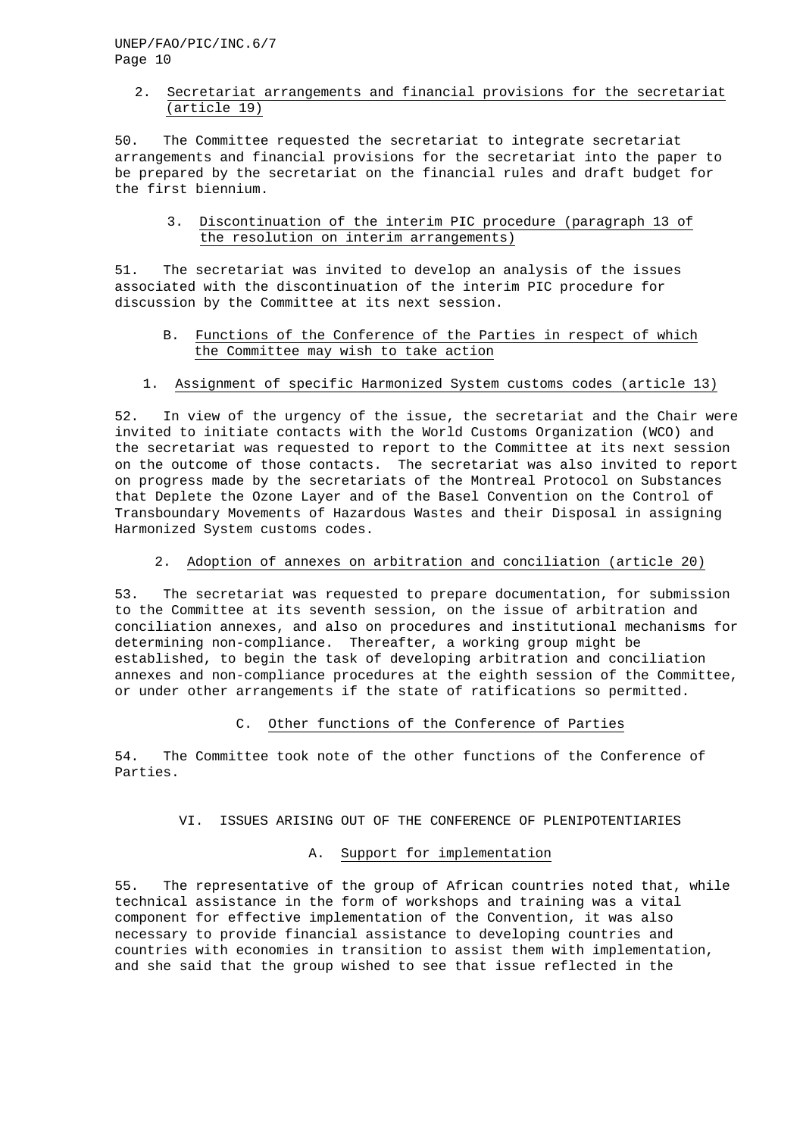## 2. Secretariat arrangements and financial provisions for the secretariat (article 19)

50. The Committee requested the secretariat to integrate secretariat arrangements and financial provisions for the secretariat into the paper to be prepared by the secretariat on the financial rules and draft budget for the first biennium.

3. Discontinuation of the interim PIC procedure (paragraph 13 of the resolution on interim arrangements)

51. The secretariat was invited to develop an analysis of the issues associated with the discontinuation of the interim PIC procedure for discussion by the Committee at its next session.

- B. Functions of the Conference of the Parties in respect of which the Committee may wish to take action
- 1. Assignment of specific Harmonized System customs codes (article 13)

52. In view of the urgency of the issue, the secretariat and the Chair were invited to initiate contacts with the World Customs Organization (WCO) and the secretariat was requested to report to the Committee at its next session on the outcome of those contacts. The secretariat was also invited to report on progress made by the secretariats of the Montreal Protocol on Substances that Deplete the Ozone Layer and of the Basel Convention on the Control of Transboundary Movements of Hazardous Wastes and their Disposal in assigning Harmonized System customs codes.

2. Adoption of annexes on arbitration and conciliation (article 20)

53. The secretariat was requested to prepare documentation, for submission to the Committee at its seventh session, on the issue of arbitration and conciliation annexes, and also on procedures and institutional mechanisms for determining non-compliance. Thereafter, a working group might be established, to begin the task of developing arbitration and conciliation annexes and non-compliance procedures at the eighth session of the Committee, or under other arrangements if the state of ratifications so permitted.

### C. Other functions of the Conference of Parties

54. The Committee took note of the other functions of the Conference of Parties.

VI. ISSUES ARISING OUT OF THE CONFERENCE OF PLENIPOTENTIARIES

## A. Support for implementation

55. The representative of the group of African countries noted that, while technical assistance in the form of workshops and training was a vital component for effective implementation of the Convention, it was also necessary to provide financial assistance to developing countries and countries with economies in transition to assist them with implementation, and she said that the group wished to see that issue reflected in the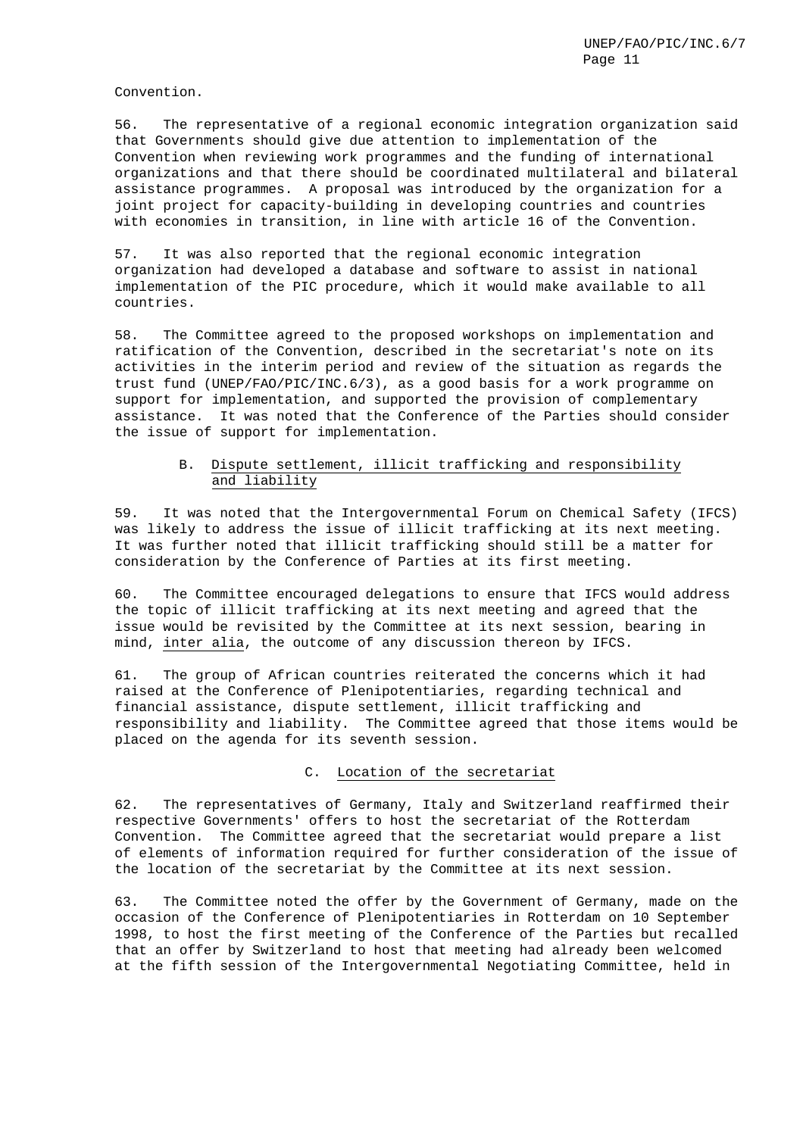Convention.

56. The representative of a regional economic integration organization said that Governments should give due attention to implementation of the Convention when reviewing work programmes and the funding of international organizations and that there should be coordinated multilateral and bilateral assistance programmes. A proposal was introduced by the organization for a joint project for capacity-building in developing countries and countries with economies in transition, in line with article 16 of the Convention.

57. It was also reported that the regional economic integration organization had developed a database and software to assist in national implementation of the PIC procedure, which it would make available to all countries.

58. The Committee agreed to the proposed workshops on implementation and ratification of the Convention, described in the secretariat's note on its activities in the interim period and review of the situation as regards the trust fund (UNEP/FAO/PIC/INC.6/3), as a good basis for a work programme on support for implementation, and supported the provision of complementary assistance. It was noted that the Conference of the Parties should consider the issue of support for implementation.

## B. Dispute settlement, illicit trafficking and responsibility and liability

59. It was noted that the Intergovernmental Forum on Chemical Safety (IFCS) was likely to address the issue of illicit trafficking at its next meeting. It was further noted that illicit trafficking should still be a matter for consideration by the Conference of Parties at its first meeting.

60. The Committee encouraged delegations to ensure that IFCS would address the topic of illicit trafficking at its next meeting and agreed that the issue would be revisited by the Committee at its next session, bearing in mind, inter alia, the outcome of any discussion thereon by IFCS.

61. The group of African countries reiterated the concerns which it had raised at the Conference of Plenipotentiaries, regarding technical and financial assistance, dispute settlement, illicit trafficking and responsibility and liability. The Committee agreed that those items would be placed on the agenda for its seventh session.

### C. Location of the secretariat

62. The representatives of Germany, Italy and Switzerland reaffirmed their respective Governments' offers to host the secretariat of the Rotterdam Convention. The Committee agreed that the secretariat would prepare a list of elements of information required for further consideration of the issue of the location of the secretariat by the Committee at its next session.

63. The Committee noted the offer by the Government of Germany, made on the occasion of the Conference of Plenipotentiaries in Rotterdam on 10 September 1998, to host the first meeting of the Conference of the Parties but recalled that an offer by Switzerland to host that meeting had already been welcomed at the fifth session of the Intergovernmental Negotiating Committee, held in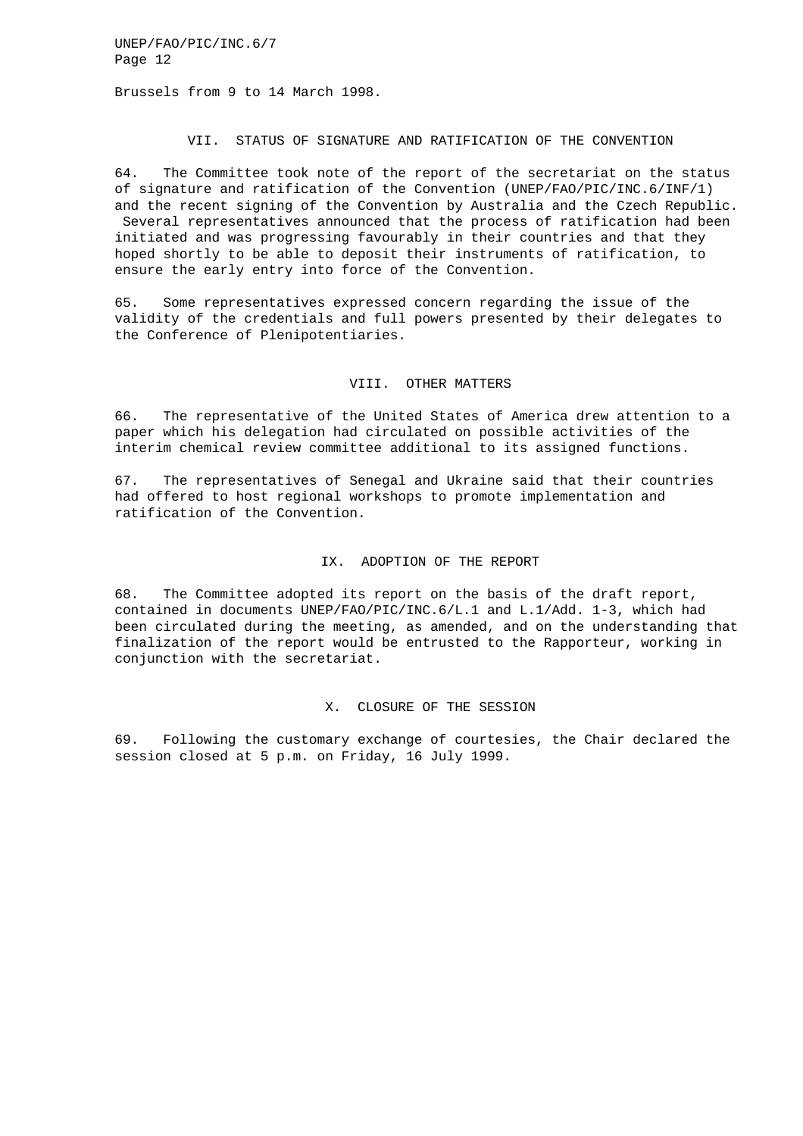Brussels from 9 to 14 March 1998.

### VII. STATUS OF SIGNATURE AND RATIFICATION OF THE CONVENTION

64. The Committee took note of the report of the secretariat on the status of signature and ratification of the Convention (UNEP/FAO/PIC/INC.6/INF/1) and the recent signing of the Convention by Australia and the Czech Republic. Several representatives announced that the process of ratification had been initiated and was progressing favourably in their countries and that they hoped shortly to be able to deposit their instruments of ratification, to ensure the early entry into force of the Convention.

65. Some representatives expressed concern regarding the issue of the validity of the credentials and full powers presented by their delegates to the Conference of Plenipotentiaries.

## VIII. OTHER MATTERS

66. The representative of the United States of America drew attention to a paper which his delegation had circulated on possible activities of the interim chemical review committee additional to its assigned functions.

67. The representatives of Senegal and Ukraine said that their countries had offered to host regional workshops to promote implementation and ratification of the Convention.

#### IX. ADOPTION OF THE REPORT

68. The Committee adopted its report on the basis of the draft report, contained in documents UNEP/FAO/PIC/INC.6/L.1 and L.1/Add. 1-3, which had been circulated during the meeting, as amended, and on the understanding that finalization of the report would be entrusted to the Rapporteur, working in conjunction with the secretariat.

#### X. CLOSURE OF THE SESSION

69. Following the customary exchange of courtesies, the Chair declared the session closed at 5 p.m. on Friday, 16 July 1999.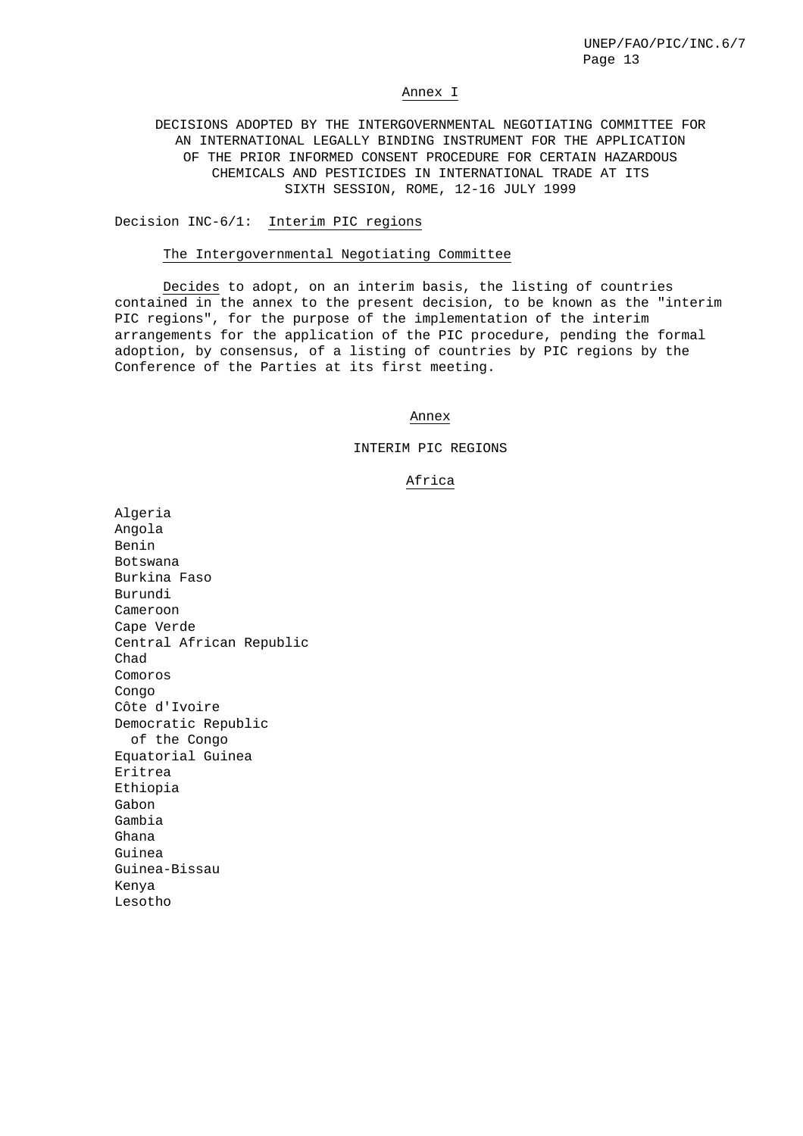#### Annex I

DECISIONS ADOPTED BY THE INTERGOVERNMENTAL NEGOTIATING COMMITTEE FOR AN INTERNATIONAL LEGALLY BINDING INSTRUMENT FOR THE APPLICATION OF THE PRIOR INFORMED CONSENT PROCEDURE FOR CERTAIN HAZARDOUS CHEMICALS AND PESTICIDES IN INTERNATIONAL TRADE AT ITS SIXTH SESSION, ROME, 12-16 JULY 1999

#### Decision INC-6/1: Interim PIC regions

#### The Intergovernmental Negotiating Committee

Decides to adopt, on an interim basis, the listing of countries contained in the annex to the present decision, to be known as the "interim PIC regions", for the purpose of the implementation of the interim arrangements for the application of the PIC procedure, pending the formal adoption, by consensus, of a listing of countries by PIC regions by the Conference of the Parties at its first meeting.

#### Annex

#### INTERIM PIC REGIONS

### Africa

Algeria Angola Benin Botswana Burkina Faso Burundi Cameroon Cape Verde Central African Republic Chad Comoros Congo Côte d'Ivoire Democratic Republic of the Congo Equatorial Guinea Eritrea Ethiopia Gabon Gambia Ghana Guinea Guinea-Bissau Kenya Lesotho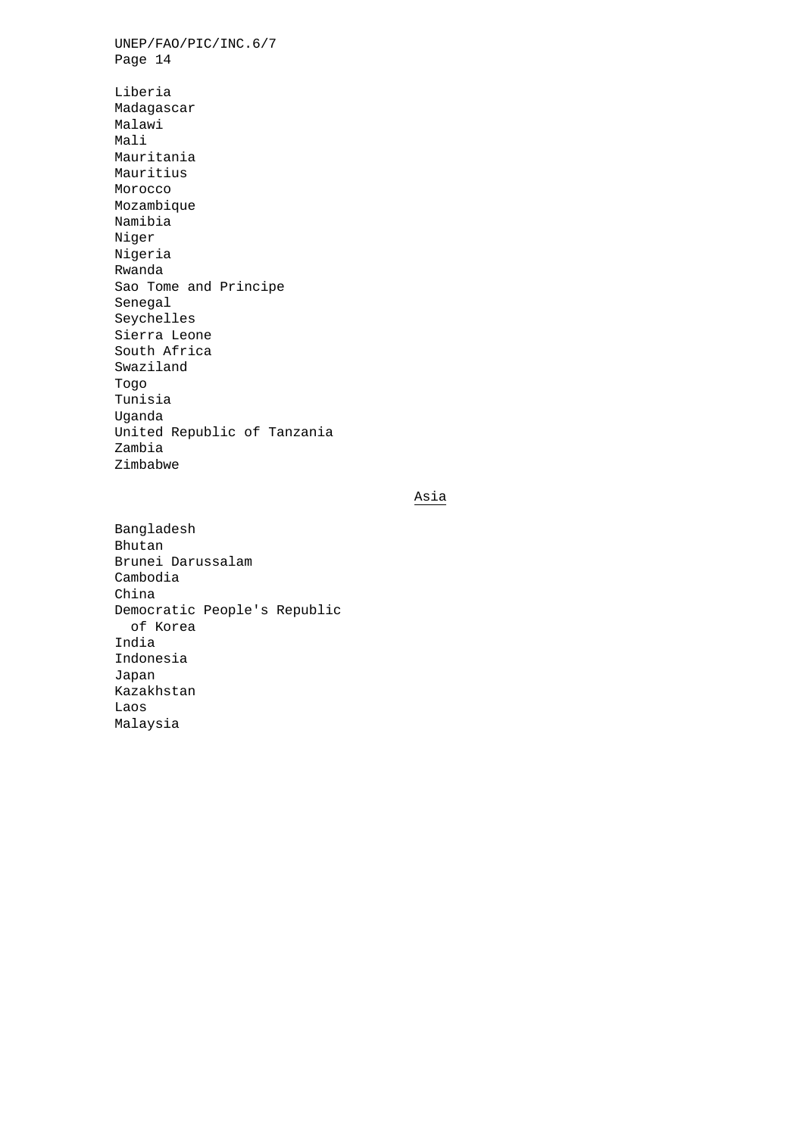UNEP/FAO/PIC/INC.6/7 Page 14 Liberia Madagascar Malawi Mali Mauritania Mauritius Morocco Mozambique Namibia Niger Nigeria Rwanda Sao Tome and Principe Senegal Seychelles Sierra Leone South Africa Swaziland Togo Tunisia Uganda United Republic of Tanzania Zambia Zimbabwe

# Asia

Bangladesh Bhutan Brunei Darussalam Cambodia China Democratic People's Republic of Korea India Indonesia Japan Kazakhstan Laos Malaysia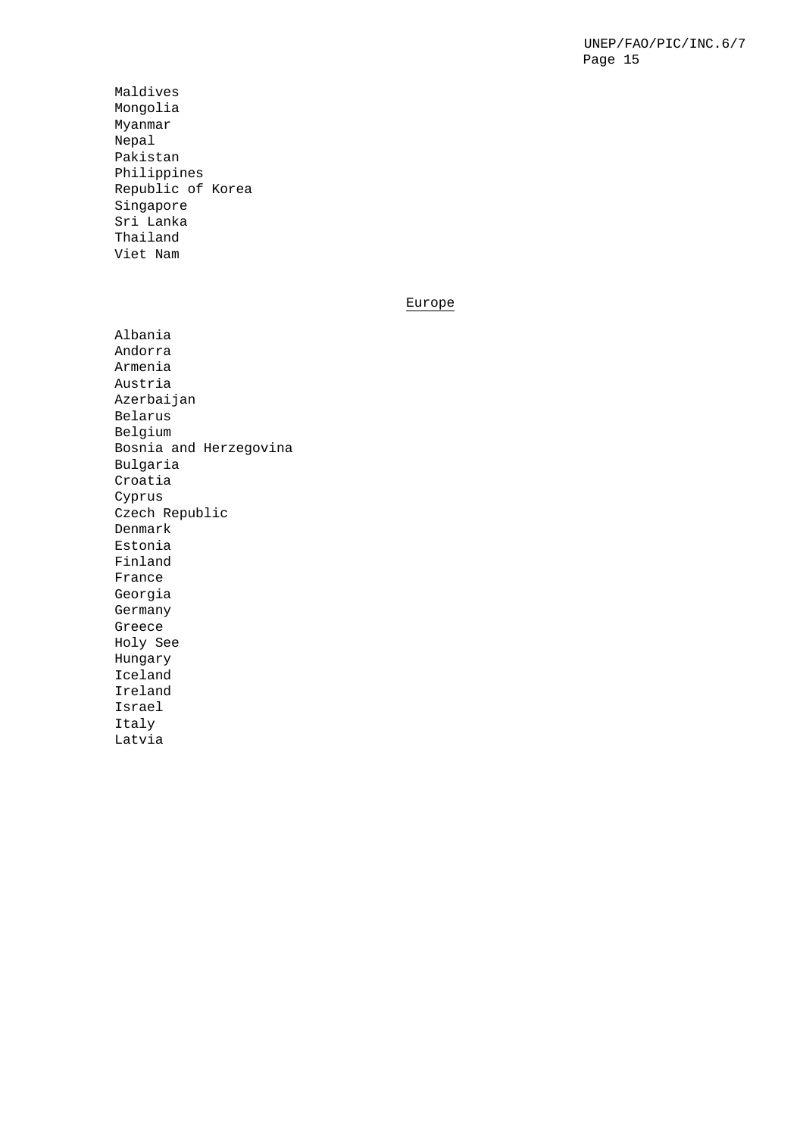Maldives Mongolia Myanmar Nepal Pakistan Philippines Republic of Korea Singapore Sri Lanka Thailand Viet Nam

## Europe

Albania Andorra Armenia Austria Azerbaijan Belarus Belgium Bosnia and Herzegovina Bulgaria Croatia Cyprus Czech Republic Denmark Estonia Finland France Georgia Germany Greece Holy See Hungary Iceland Ireland Israel Italy Latvia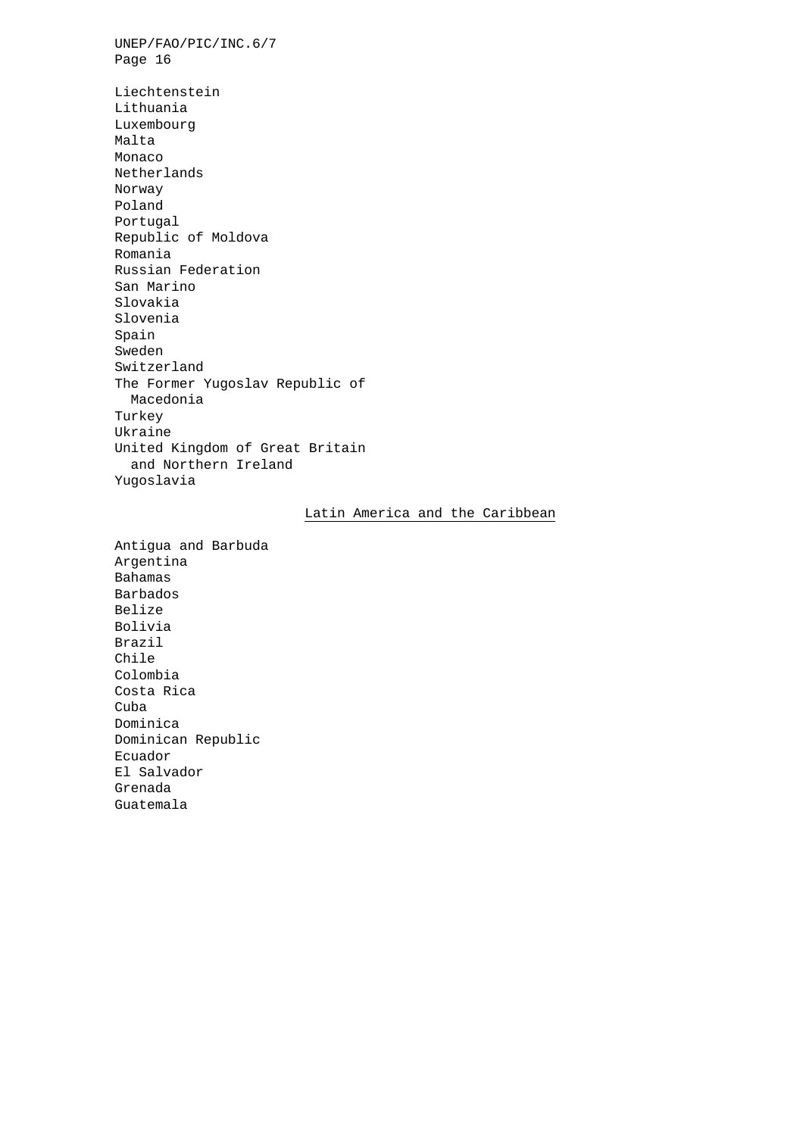UNEP/FAO/PIC/INC.6/7 Page 16 Liechtenstein Lithuania Luxembourg Malta Monaco Netherlands Norway Poland Portugal Republic of Moldova Romania Russian Federation San Marino Slovakia Slovenia Spain Sweden Switzerland The Former Yugoslav Republic of Macedonia Turkey Ukraine United Kingdom of Great Britain and Northern Ireland Yugoslavia

## Latin America and the Caribbean

Antigua and Barbuda Argentina Bahamas Barbados Belize Bolivia Brazil Chile Colombia Costa Rica Cuba Dominica Dominican Republic Ecuador El Salvador Grenada Guatemala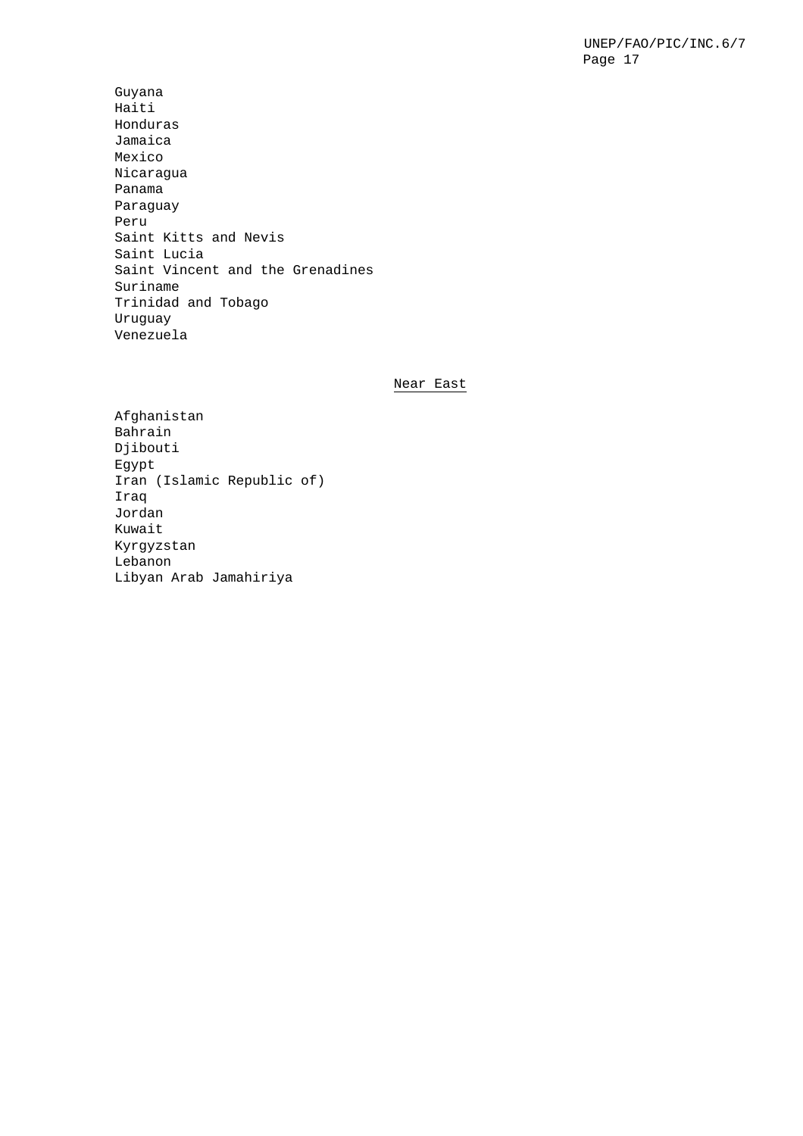Guyana Haiti Honduras Jamaica Mexico Nicaragua Panama Paraguay Peru Saint Kitts and Nevis Saint Lucia Saint Vincent and the Grenadines Suriname Trinidad and Tobago Uruguay Venezuela

## Near East

Afghanistan Bahrain Djibouti Egypt Iran (Islamic Republic of) Iraq Jordan Kuwait Kyrgyzstan Lebanon Libyan Arab Jamahiriya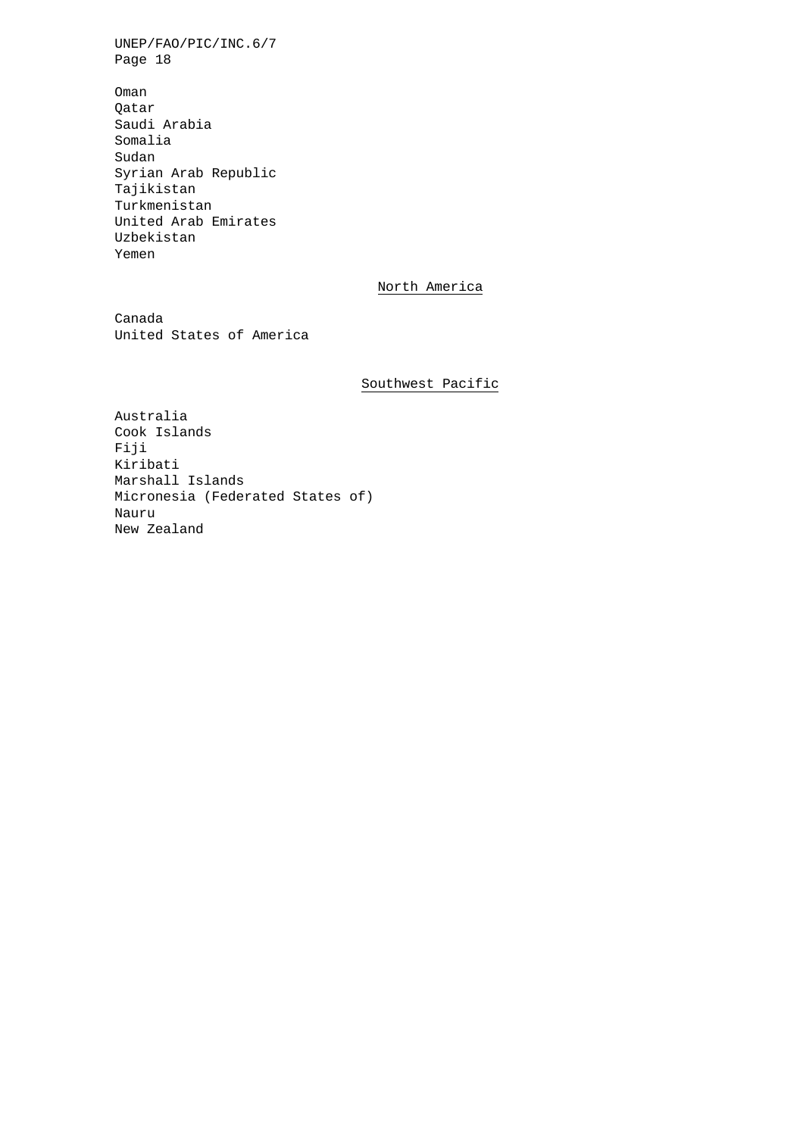Oman Qatar Saudi Arabia Somalia Sudan Syrian Arab Republic Tajikistan Turkmenistan United Arab Emirates Uzbekistan Yemen

## North America

Canada United States of America

## Southwest Pacific

Australia Cook Islands Fiji Kiribati Marshall Islands Micronesia (Federated States of) Nauru New Zealand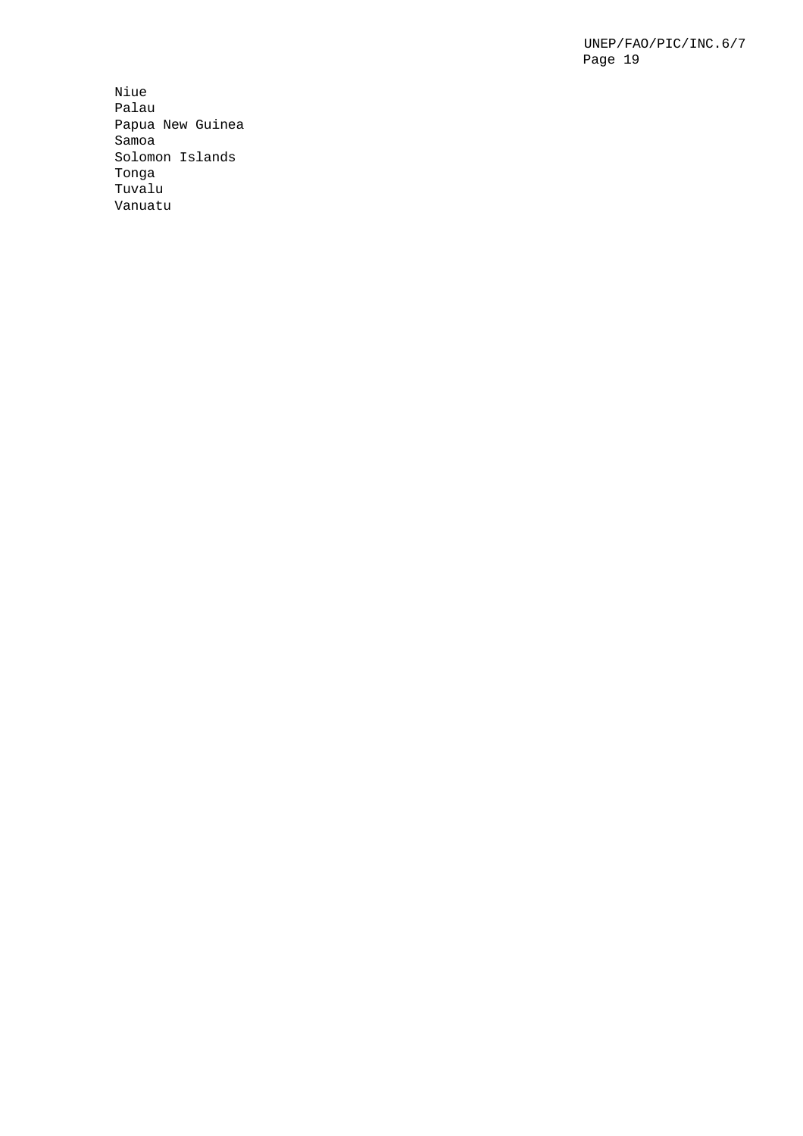Niue Palau Papua New Guinea Samoa Solomon Islands Tonga Tuvalu Vanuatu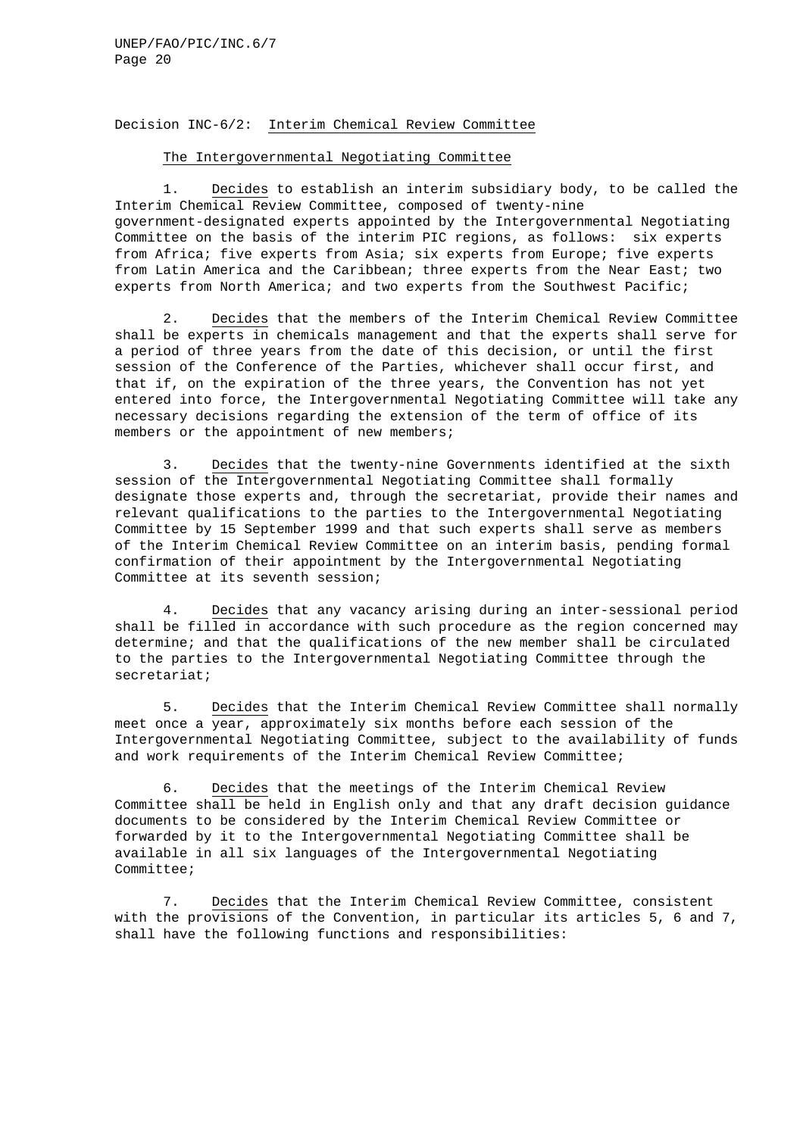#### Decision INC-6/2: Interim Chemical Review Committee

#### The Intergovernmental Negotiating Committee

1. Decides to establish an interim subsidiary body, to be called the Interim Chemical Review Committee, composed of twenty-nine government-designated experts appointed by the Intergovernmental Negotiating Committee on the basis of the interim PIC regions, as follows: six experts from Africa; five experts from Asia; six experts from Europe; five experts from Latin America and the Caribbean; three experts from the Near East; two experts from North America; and two experts from the Southwest Pacific;

2. Decides that the members of the Interim Chemical Review Committee shall be experts in chemicals management and that the experts shall serve for a period of three years from the date of this decision, or until the first session of the Conference of the Parties, whichever shall occur first, and that if, on the expiration of the three years, the Convention has not yet entered into force, the Intergovernmental Negotiating Committee will take any necessary decisions regarding the extension of the term of office of its members or the appointment of new members;

3. Decides that the twenty-nine Governments identified at the sixth session of the Intergovernmental Negotiating Committee shall formally designate those experts and, through the secretariat, provide their names and relevant qualifications to the parties to the Intergovernmental Negotiating Committee by 15 September 1999 and that such experts shall serve as members of the Interim Chemical Review Committee on an interim basis, pending formal confirmation of their appointment by the Intergovernmental Negotiating Committee at its seventh session;

4. Decides that any vacancy arising during an inter-sessional period shall be filled in accordance with such procedure as the region concerned may determine; and that the qualifications of the new member shall be circulated to the parties to the Intergovernmental Negotiating Committee through the secretariat;

5. Decides that the Interim Chemical Review Committee shall normally meet once a year, approximately six months before each session of the Intergovernmental Negotiating Committee, subject to the availability of funds and work requirements of the Interim Chemical Review Committee;

6. Decides that the meetings of the Interim Chemical Review Committee shall be held in English only and that any draft decision guidance documents to be considered by the Interim Chemical Review Committee or forwarded by it to the Intergovernmental Negotiating Committee shall be available in all six languages of the Intergovernmental Negotiating Committee;

7. Decides that the Interim Chemical Review Committee, consistent with the provisions of the Convention, in particular its articles 5, 6 and 7, shall have the following functions and responsibilities: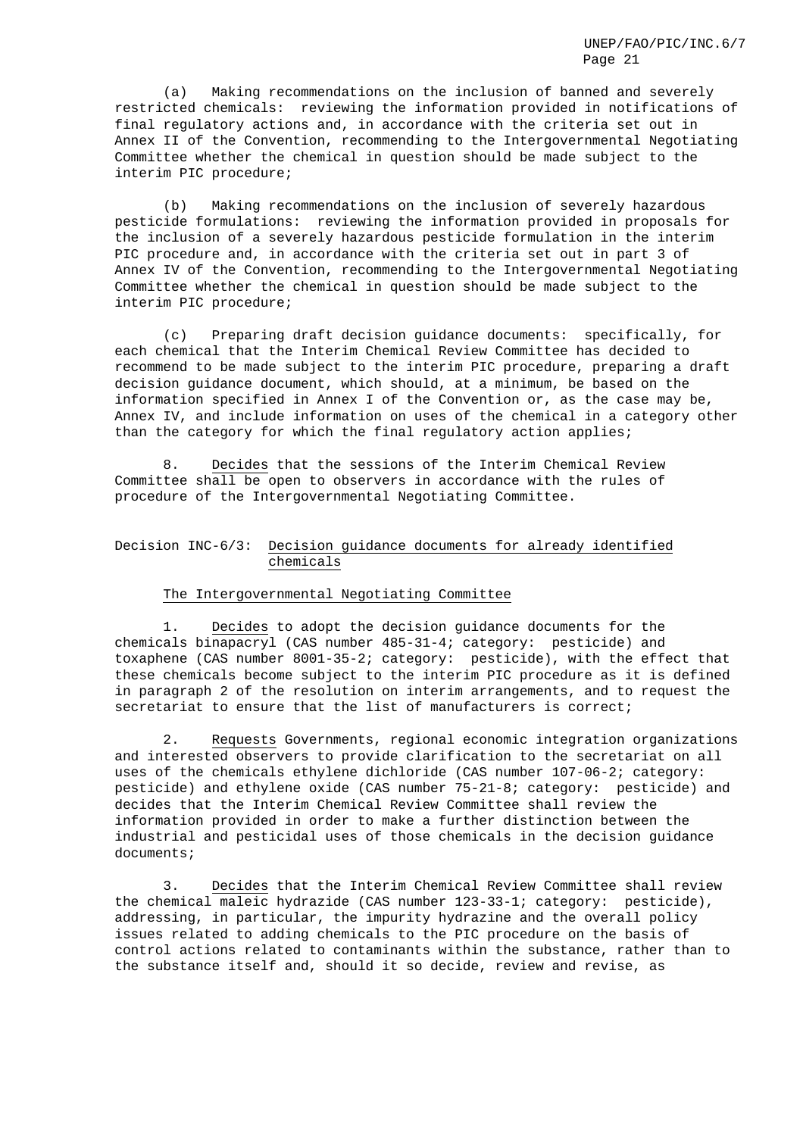(a) Making recommendations on the inclusion of banned and severely restricted chemicals: reviewing the information provided in notifications of final regulatory actions and, in accordance with the criteria set out in Annex II of the Convention, recommending to the Intergovernmental Negotiating Committee whether the chemical in question should be made subject to the interim PIC procedure;

(b) Making recommendations on the inclusion of severely hazardous pesticide formulations: reviewing the information provided in proposals for the inclusion of a severely hazardous pesticide formulation in the interim PIC procedure and, in accordance with the criteria set out in part 3 of Annex IV of the Convention, recommending to the Intergovernmental Negotiating Committee whether the chemical in question should be made subject to the interim PIC procedure;

(c) Preparing draft decision guidance documents: specifically, for each chemical that the Interim Chemical Review Committee has decided to recommend to be made subject to the interim PIC procedure, preparing a draft decision guidance document, which should, at a minimum, be based on the information specified in Annex I of the Convention or, as the case may be, Annex IV, and include information on uses of the chemical in a category other than the category for which the final regulatory action applies;

8. Decides that the sessions of the Interim Chemical Review Committee shall be open to observers in accordance with the rules of procedure of the Intergovernmental Negotiating Committee.

## Decision INC-6/3: Decision guidance documents for already identified chemicals

#### The Intergovernmental Negotiating Committee

1. Decides to adopt the decision guidance documents for the chemicals binapacryl (CAS number 485-31-4; category: pesticide) and toxaphene (CAS number 8001-35-2; category: pesticide), with the effect that these chemicals become subject to the interim PIC procedure as it is defined in paragraph 2 of the resolution on interim arrangements, and to request the secretariat to ensure that the list of manufacturers is correct;

2. Requests Governments, regional economic integration organizations and interested observers to provide clarification to the secretariat on all uses of the chemicals ethylene dichloride (CAS number 107-06-2; category: pesticide) and ethylene oxide (CAS number 75-21-8; category: pesticide) and decides that the Interim Chemical Review Committee shall review the information provided in order to make a further distinction between the industrial and pesticidal uses of those chemicals in the decision guidance documents;

3. Decides that the Interim Chemical Review Committee shall review the chemical maleic hydrazide (CAS number 123-33-1; category: pesticide), addressing, in particular, the impurity hydrazine and the overall policy issues related to adding chemicals to the PIC procedure on the basis of control actions related to contaminants within the substance, rather than to the substance itself and, should it so decide, review and revise, as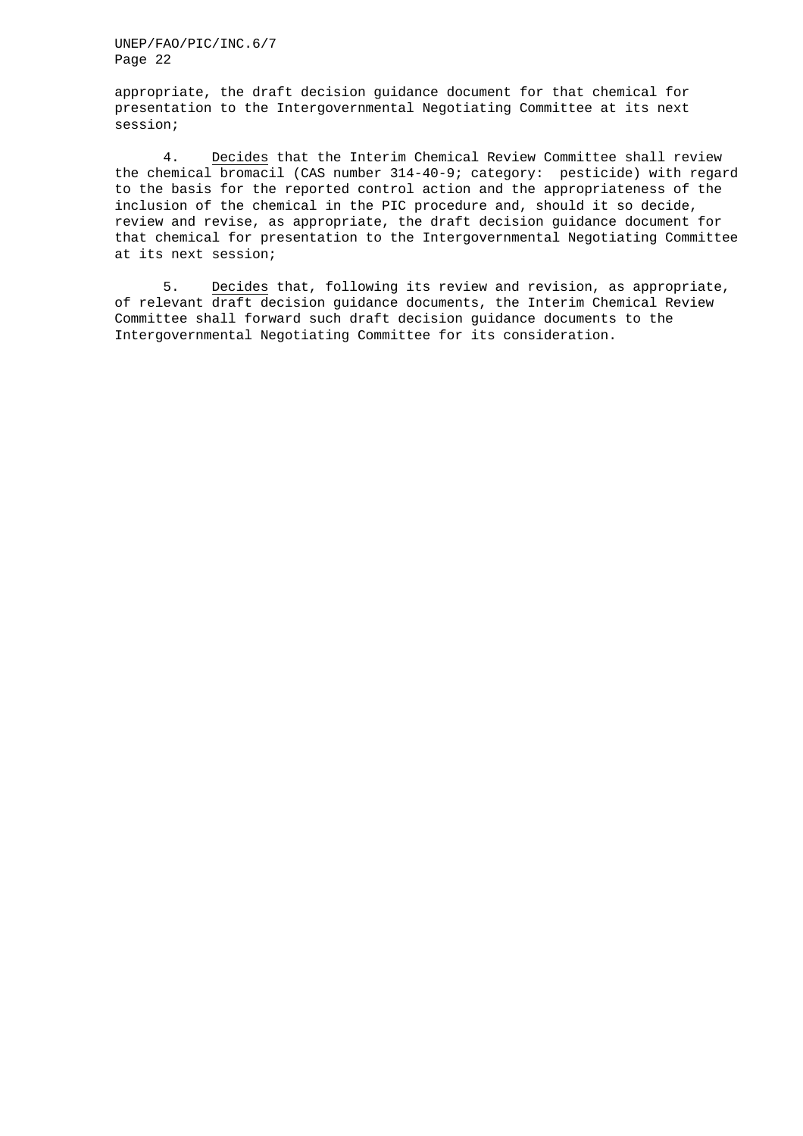appropriate, the draft decision guidance document for that chemical for presentation to the Intergovernmental Negotiating Committee at its next session;

4. Decides that the Interim Chemical Review Committee shall review the chemical bromacil (CAS number 314-40-9; category: pesticide) with regard to the basis for the reported control action and the appropriateness of the inclusion of the chemical in the PIC procedure and, should it so decide, review and revise, as appropriate, the draft decision guidance document for that chemical for presentation to the Intergovernmental Negotiating Committee at its next session;

5. Decides that, following its review and revision, as appropriate, of relevant draft decision guidance documents, the Interim Chemical Review Committee shall forward such draft decision guidance documents to the Intergovernmental Negotiating Committee for its consideration.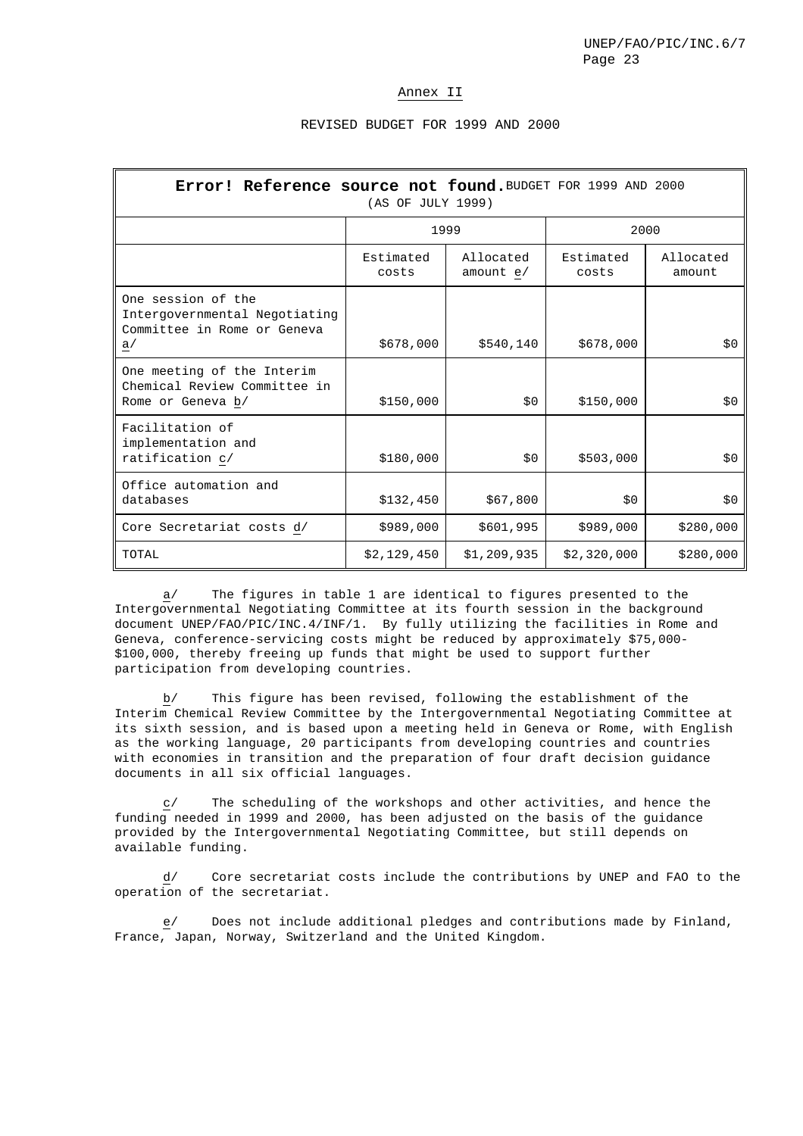#### Annex II

### REVISED BUDGET FOR 1999 AND 2000

| Error! Reference source not found. BUDGET FOR 1999 AND 2000<br>(AS OF JULY 1999)         |                    |                          |                    |                     |  |  |  |  |
|------------------------------------------------------------------------------------------|--------------------|--------------------------|--------------------|---------------------|--|--|--|--|
|                                                                                          | 1999               |                          | 2000               |                     |  |  |  |  |
|                                                                                          | Estimated<br>costs | Allocated<br>amount $e/$ | Estimated<br>costs | Allocated<br>amount |  |  |  |  |
| One session of the<br>Intergovernmental Negotiating<br>Committee in Rome or Geneva<br>a/ | \$678,000          | \$540,140                | \$678,000          | \$0                 |  |  |  |  |
| One meeting of the Interim<br>Chemical Review Committee in<br>Rome or Geneva b/          | \$150,000          | \$0                      | \$150,000          | \$0                 |  |  |  |  |
| Facilitation of<br>implementation and<br>ratification c/                                 | \$180,000          | \$0                      | \$503,000          | \$0                 |  |  |  |  |
| Office automation and<br>databases                                                       | \$132,450          | \$67,800                 | \$0                | \$0                 |  |  |  |  |
| Core Secretariat costs d/                                                                | \$989,000          | \$601,995                | \$989,000          | \$280,000           |  |  |  |  |
| TOTAL                                                                                    | \$2,129,450        | \$1,209,935              | \$2,320,000        | \$280,000           |  |  |  |  |

a/ The figures in table 1 are identical to figures presented to the Intergovernmental Negotiating Committee at its fourth session in the background document UNEP/FAO/PIC/INC.4/INF/1. By fully utilizing the facilities in Rome and Geneva, conference-servicing costs might be reduced by approximately \$75,000- \$100,000, thereby freeing up funds that might be used to support further participation from developing countries.

b/ This figure has been revised, following the establishment of the Interim Chemical Review Committee by the Intergovernmental Negotiating Committee at its sixth session, and is based upon a meeting held in Geneva or Rome, with English as the working language, 20 participants from developing countries and countries with economies in transition and the preparation of four draft decision guidance documents in all six official languages.

 $c$ / The scheduling of the workshops and other activities, and hence the funding needed in 1999 and 2000, has been adjusted on the basis of the guidance provided by the Intergovernmental Negotiating Committee, but still depends on available funding.

d/ Core secretariat costs include the contributions by UNEP and FAO to the operation of the secretariat.

Does not include additional pledges and contributions made by Finland, France, Japan, Norway, Switzerland and the United Kingdom.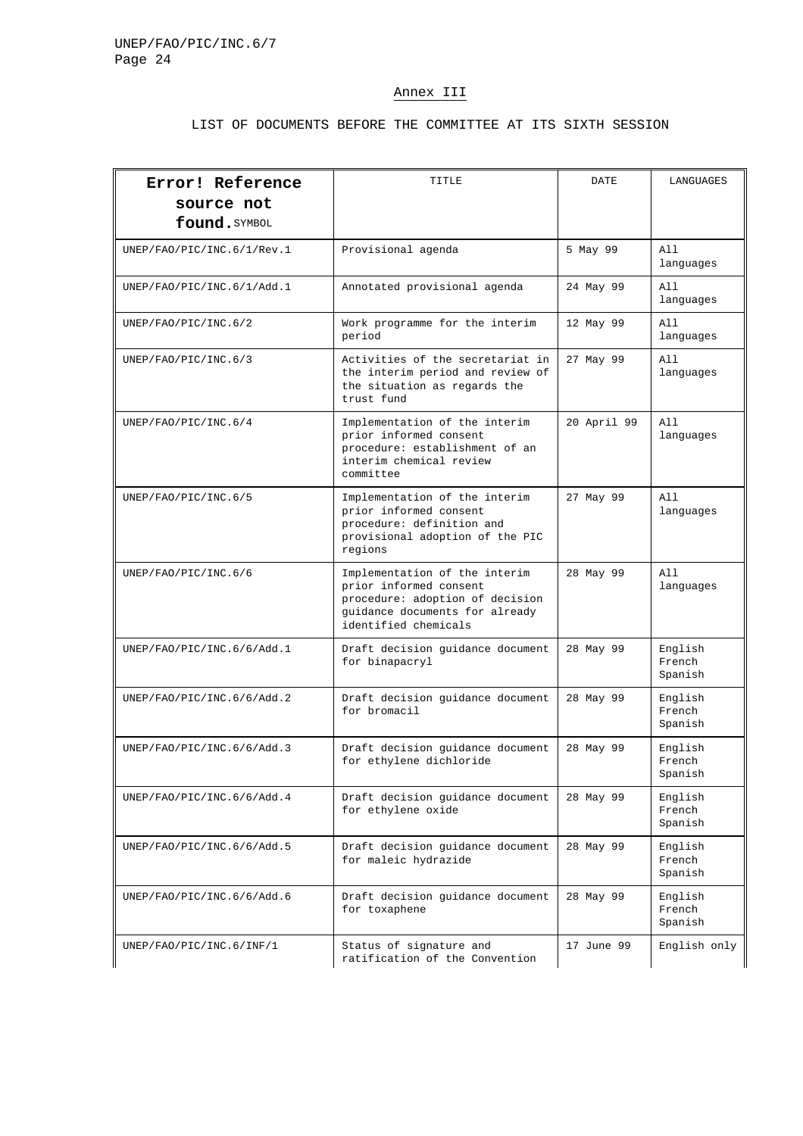# Annex III

## LIST OF DOCUMENTS BEFORE THE COMMITTEE AT ITS SIXTH SESSION

| Error! Reference<br>source not<br>found. SYMBOL                                       | TITLE                                                                                                                                                | DATE        | LANGUAGES                    |
|---------------------------------------------------------------------------------------|------------------------------------------------------------------------------------------------------------------------------------------------------|-------------|------------------------------|
| UNEP/FAO/PIC/INC.6/1/Rev.1                                                            | Provisional agenda                                                                                                                                   | 5 May 99    | A11<br>languages             |
| UNEP/FAO/PIC/INC.6/1/Add.1                                                            | Annotated provisional agenda                                                                                                                         | 24 May 99   | All<br>languages             |
| UNEP/FAO/PIC/INC.6/2                                                                  | Work programme for the interim<br>period                                                                                                             | 12 May 99   | All<br>languages             |
| UNEP/FAO/PIC/INC.6/3                                                                  | Activities of the secretariat in<br>the interim period and review of<br>the situation as regards the<br>trust fund                                   | 27 May 99   | All<br>languages             |
| UNEP/FAO/PIC/INC.6/4                                                                  | Implementation of the interim<br>prior informed consent<br>procedure: establishment of an<br>interim chemical review<br>committee                    | 20 April 99 | All<br>languages             |
| UNEP/FAO/PIC/INC.6/5                                                                  | Implementation of the interim<br>prior informed consent<br>procedure: definition and<br>provisional adoption of the PIC<br>regions                   | 27 May 99   | All<br>languages             |
| UNEP/FAO/PIC/INC.6/6                                                                  | Implementation of the interim<br>prior informed consent<br>procedure: adoption of decision<br>guidance documents for already<br>identified chemicals | 28 May 99   | All<br>languages             |
| UNEP/FAO/PIC/INC.6/6/Add.1                                                            | Draft decision guidance document<br>for binapacryl                                                                                                   | 28 May 99   | English<br>French<br>Spanish |
| UNEP/FAO/PIC/INC.6/6/Add.2                                                            | Draft decision guidance document<br>for bromacil                                                                                                     | 28 May 99   | English<br>French<br>Spanish |
| UNEP/FAO/PIC/INC.6/6/Add.3                                                            | Draft decision quidance document<br>for ethylene dichloride                                                                                          | 28 May 99   | English<br>French<br>Spanish |
| UNEP/FAO/PIC/INC.6/6/Add.4                                                            | Draft decision quidance document<br>for ethylene oxide                                                                                               | 28 May 99   | English<br>French<br>Spanish |
| UNEP/FAO/PIC/INC.6/6/Add.5                                                            | Draft decision guidance document<br>for maleic hydrazide                                                                                             | 28 May 99   | English<br>French<br>Spanish |
| UNEP/FAO/PIC/INC.6/6/Add.6                                                            | Draft decision guidance document<br>for toxaphene                                                                                                    | 28 May 99   | English<br>French<br>Spanish |
| Status of signature and<br>UNEP/FAO/PIC/INC.6/INF/1<br>ratification of the Convention |                                                                                                                                                      | 17 June 99  | English only                 |